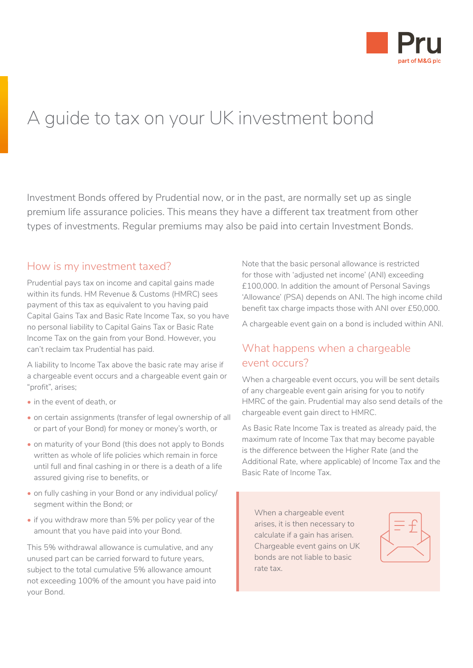

# A guide to tax on your UK investment bond

Investment Bonds offered by Prudential now, or in the past, are normally set up as single premium life assurance policies. This means they have a different tax treatment from other types of investments. Regular premiums may also be paid into certain Investment Bonds.

### How is my investment taxed?

Prudential pays tax on income and capital gains made within its funds. HM Revenue & Customs (HMRC) sees payment of this tax as equivalent to you having paid Capital Gains Tax and Basic Rate Income Tax, so you have no personal liability to Capital Gains Tax or Basic Rate Income Tax on the gain from your Bond. However, you can't reclaim tax Prudential has paid.

A liability to Income Tax above the basic rate may arise if a chargeable event occurs and a chargeable event gain or "profit", arises;

- in the event of death, or
- on certain assignments (transfer of legal ownership of all or part of your Bond) for money or money's worth, or
- on maturity of your Bond (this does not apply to Bonds written as whole of life policies which remain in force until full and final cashing in or there is a death of a life assured giving rise to benefits, or
- on fully cashing in your Bond or any individual policy/ segment within the Bond; or
- if you withdraw more than 5% per policy year of the amount that you have paid into your Bond.

This 5% withdrawal allowance is cumulative, and any unused part can be carried forward to future years, subject to the total cumulative 5% allowance amount not exceeding 100% of the amount you have paid into your Bond.

Note that the basic personal allowance is restricted for those with 'adjusted net income' (ANI) exceeding £100,000. In addition the amount of Personal Savings 'Allowance' (PSA) depends on ANI. The high income child benefit tax charge impacts those with ANI over £50,000.

A chargeable event gain on a bond is included within ANI.

### What happens when a chargeable event occurs?

When a chargeable event occurs, you will be sent details of any chargeable event gain arising for you to notify HMRC of the gain. Prudential may also send details of the chargeable event gain direct to HMRC.

As Basic Rate Income Tax is treated as already paid, the maximum rate of Income Tax that may become payable is the difference between the Higher Rate (and the Additional Rate, where applicable) of Income Tax and the Basic Rate of Income Tax.

When a chargeable event arises, it is then necessary to calculate if a gain has arisen. Chargeable event gains on UK bonds are not liable to basic rate tax.

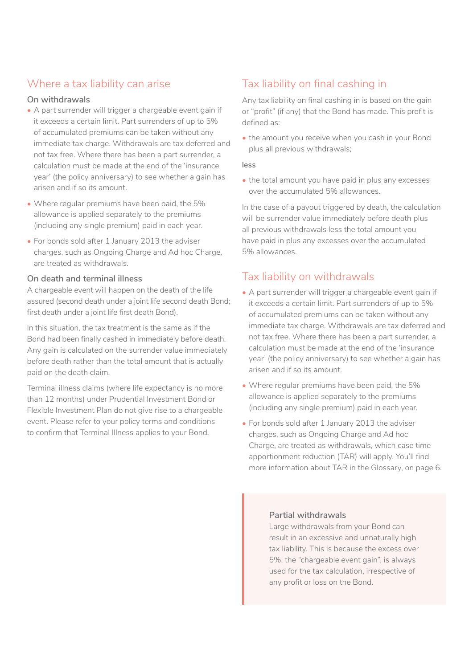### Where a tax liability can arise

### **On withdrawals**

- A part surrender will trigger a chargeable event gain if it exceeds a certain limit. Part surrenders of up to 5% of accumulated premiums can be taken without any immediate tax charge. Withdrawals are tax deferred and not tax free. Where there has been a part surrender, a calculation must be made at the end of the 'insurance year' (the policy anniversary) to see whether a gain has arisen and if so its amount.
- Where regular premiums have been paid, the 5% allowance is applied separately to the premiums (including any single premium) paid in each year.
- For bonds sold after 1 January 2013 the adviser charges, such as Ongoing Charge and Ad hoc Charge, are treated as withdrawals.

### **On death and terminal illness**

A chargeable event will happen on the death of the life assured (second death under a joint life second death Bond; first death under a joint life first death Bond).

In this situation, the tax treatment is the same as if the Bond had been finally cashed in immediately before death. Any gain is calculated on the surrender value immediately before death rather than the total amount that is actually paid on the death claim.

Terminal illness claims (where life expectancy is no more than 12 months) under Prudential Investment Bond or Flexible Investment Plan do not give rise to a chargeable event. Please refer to your policy terms and conditions to confirm that Terminal Illness applies to your Bond.

# Tax liability on final cashing in

Any tax liability on final cashing in is based on the gain or "profit" (if any) that the Bond has made. This profit is defined as:

• the amount you receive when you cash in your Bond plus all previous withdrawals;

#### **less**

• the total amount you have paid in plus any excesses over the accumulated 5% allowances.

In the case of a payout triggered by death, the calculation will be surrender value immediately before death plus all previous withdrawals less the total amount you have paid in plus any excesses over the accumulated 5% allowances.

### Tax liability on withdrawals

- A part surrender will trigger a chargeable event gain if it exceeds a certain limit. Part surrenders of up to 5% of accumulated premiums can be taken without any immediate tax charge. Withdrawals are tax deferred and not tax free. Where there has been a part surrender, a calculation must be made at the end of the 'insurance year' (the policy anniversary) to see whether a gain has arisen and if so its amount.
- Where regular premiums have been paid, the 5% allowance is applied separately to the premiums (including any single premium) paid in each year.
- For bonds sold after 1 January 2013 the adviser charges, such as Ongoing Charge and Ad hoc Charge, are treated as withdrawals, which case time apportionment reduction (TAR) will apply. You'll find more information about TAR in the Glossary, on page 6.

#### **Partial withdrawals**

Large withdrawals from your Bond can result in an excessive and unnaturally high tax liability. This is because the excess over 5%, the "chargeable event gain", is always used for the tax calculation, irrespective of any profit or loss on the Bond.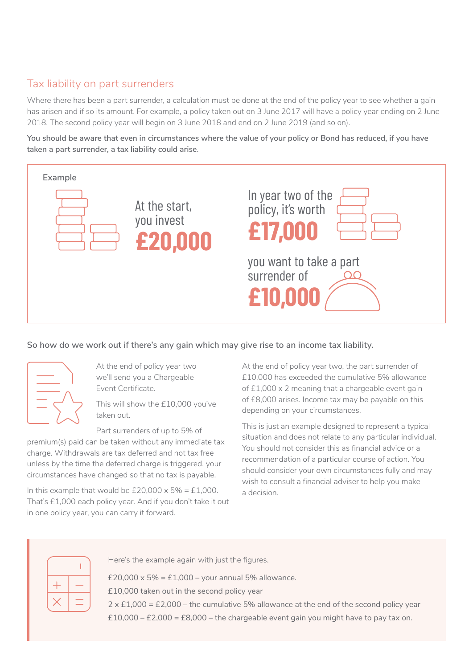# Tax liability on part surrenders

Where there has been a part surrender, a calculation must be done at the end of the policy year to see whether a gain has arisen and if so its amount. For example, a policy taken out on 3 June 2017 will have a policy year ending on 2 June 2018. The second policy year will begin on 3 June 2018 and end on 2 June 2019 (and so on).

**You should be aware that even in circumstances where the value of your policy or Bond has reduced, if you have taken a part surrender, a tax liability could arise**.



### **So how do we work out if there's any gain which may give rise to an income tax liability.**



At the end of policy year two we'll send you a Chargeable Event Certificate.

This will show the £10,000 you've taken out.

Part surrenders of up to 5% of

premium(s) paid can be taken without any immediate tax charge. Withdrawals are tax deferred and not tax free unless by the time the deferred charge is triggered, your circumstances have changed so that no tax is payable.

In this example that would be  $£20,000 \times 5\% = £1,000$ . That's £1,000 each policy year. And if you don't take it out in one policy year, you can carry it forward.

At the end of policy year two, the part surrender of £10,000 has exceeded the cumulative 5% allowance of £1,000 x 2 meaning that a chargeable event gain of £8,000 arises. Income tax may be payable on this depending on your circumstances.

This is just an example designed to represent a typical situation and does not relate to any particular individual. You should not consider this as financial advice or a recommendation of a particular course of action. You should consider your own circumstances fully and may wish to consult a financial adviser to help you make a decision.

Here's the example again with just the figures.

£20,000 x 5% = £1,000 – your annual 5% allowance.

£10,000 taken out in the second policy year

2 x £1,000 = £2,000 – the cumulative 5% allowance at the end of the second policy year  $£10,000 - £2,000 = £8,000 - the chargedble event gain you might have to pay tax on.$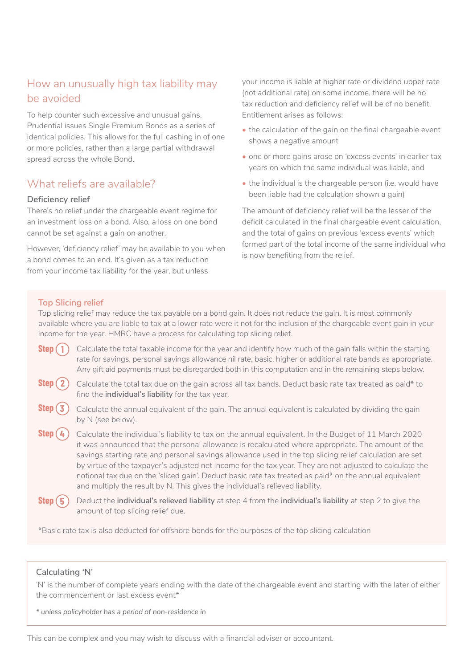## How an unusually high tax liability may be avoided

To help counter such excessive and unusual gains, Prudential issues Single Premium Bonds as a series of identical policies. This allows for the full cashing in of one or more policies, rather than a large partial withdrawal spread across the whole Bond.

## What reliefs are available?

### **Deficiency relief**

There's no relief under the chargeable event regime for an investment loss on a bond. Also, a loss on one bond cannot be set against a gain on another.

However, 'deficiency relief' may be available to you when a bond comes to an end. It's given as a tax reduction from your income tax liability for the year, but unless

your income is liable at higher rate or dividend upper rate (not additional rate) on some income, there will be no tax reduction and deficiency relief will be of no benefit. Entitlement arises as follows:

- the calculation of the gain on the final chargeable event shows a negative amount
- one or more gains arose on 'excess events' in earlier tax years on which the same individual was liable, and
- the individual is the chargeable person (i.e. would have been liable had the calculation shown a gain)

The amount of deficiency relief will be the lesser of the deficit calculated in the final chargeable event calculation, and the total of gains on previous 'excess events' which formed part of the total income of the same individual who is now benefiting from the relief.

### **Top Slicing relief**

Top slicing relief may reduce the tax payable on a bond gain. It does not reduce the gain. It is most commonly available where you are liable to tax at a lower rate were it not for the inclusion of the chargeable event gain in your income for the year. HMRC have a process for calculating top slicing relief.

- Calculate the total taxable income for the year and identify how much of the gain falls within the starting rate for savings, personal savings allowance nil rate, basic, higher or additional rate bands as appropriate. Any gift aid payments must be disregarded both in this computation and in the remaining steps below. **Step 1** 0
- Calculate the total tax due on the gain across all tax bands. Deduct basic rate tax treated as paid\* to find the **individual's liability** for the tax year. **Step 2**  $\bigcirc$
- Calculate the annual equivalent of the gain. The annual equivalent is calculated by dividing the gain by N (see below). **Step 3** 0
- Calculate the individual's liability to tax on the annual equivalent. In the Budget of 11 March 2020 it was announced that the personal allowance is recalculated where appropriate. The amount of the savings starting rate and personal savings allowance used in the top slicing relief calculation are set by virtue of the taxpayer's adjusted net income for the tax year. They are not adjusted to calculate the notional tax due on the 'sliced gain'. Deduct basic rate tax treated as paid\* on the annual equivalent and multiply the result by N. This gives the individual's relieved liability. **Step 4** 0
- Deduct the **individual's relieved liability** at step 4 from the **individual's liability** at step 2 to give the amount of top slicing relief due. **Step 5** 0

\*Basic rate tax is also deducted for offshore bonds for the purposes of the top slicing calculation

### **Calculating 'N'**

'N' is the number of complete years ending with the date of the chargeable event and starting with the later of either the commencement or last excess event\*

*\* unless policyholder has a period of non-residence in*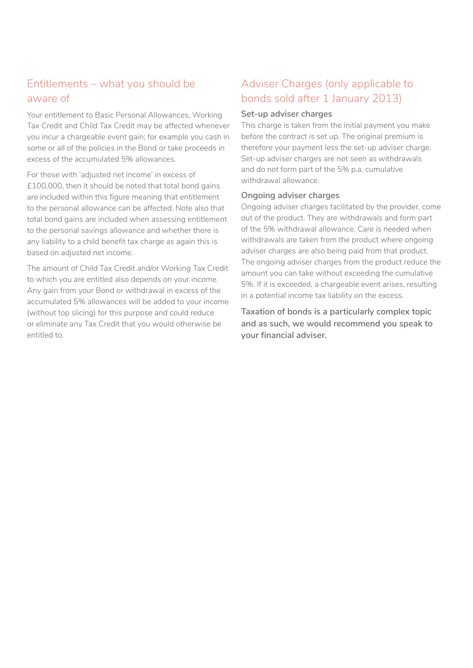# Entitlements – what you should be aware of

Your entitlement to Basic Personal Allowances, Working Tax Credit and Child Tax Credit may be affected whenever you incur a chargeable event gain; for example you cash in some or all of the policies in the Bond or take proceeds in excess of the accumulated 5% allowances.

For those with 'adjusted net income' in excess of £100,000, then it should be noted that total bond gains are included within this figure meaning that entitlement to the personal allowance can be affected. Note also that total bond gains are included when assessing entitlement to the personal savings allowance and whether there is any liability to a child benefit tax charge as again this is based on adjusted net income.

The amount of Child Tax Credit and/or Working Tax Credit to which you are entitled also depends on your income. Any gain from your Bond or withdrawal in excess of the accumulated 5% allowances will be added to your income (without top slicing) for this purpose and could reduce or eliminate any Tax Credit that you would otherwise be entitled to.

# Adviser Charges (only applicable to bonds sold after 1 January 2013)

#### **Set-up adviser charges**

This charge is taken from the initial payment you make before the contract is set up. The original premium is therefore your payment less the set-up adviser charge. Set-up adviser charges are not seen as withdrawals and do not form part of the 5% p.a. cumulative withdrawal allowance.

### **Ongoing adviser charges**

Ongoing adviser charges facilitated by the provider, come out of the product. They are withdrawals and form part of the 5% withdrawal allowance. Care is needed when withdrawals are taken from the product where ongoing adviser charges are also being paid from that product. The ongoing adviser charges from the product reduce the amount you can take without exceeding the cumulative 5%. If it is exceeded, a chargeable event arises, resulting in a potential income tax liability on the excess.

**Taxation of bonds is a particularly complex topic and as such, we would recommend you speak to your financial adviser.**